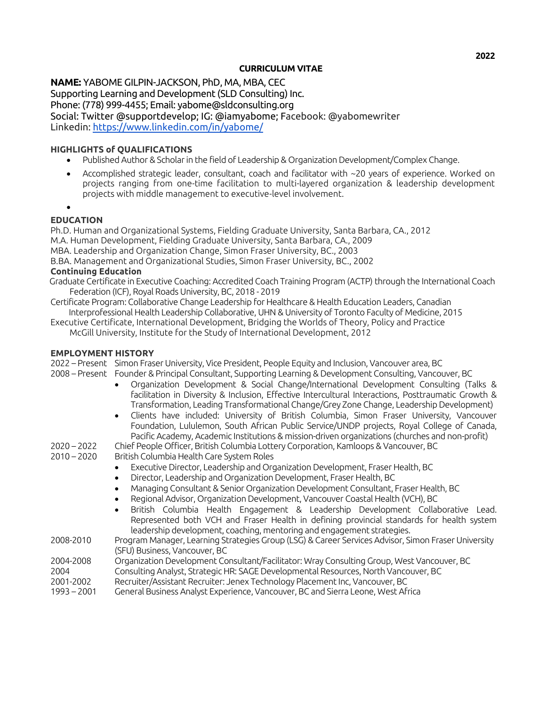## **CURRICULUM VITAE**

**NAME:** YABOME GILPIN-JACKSON, PhD, MA, MBA, CEC Supporting Learning and Development (SLD Consulting) Inc. Phone: (778) 999-4455; Email: yabome@sldconsulting.org Social: Twitter @supportdevelop; IG: @iamyabome; Facebook: @yabomewriter Linkedin: <https://www.linkedin.com/in/yabome/>

## **HIGHLIGHTS of QUALIFICATIONS**

- Published Author & Scholar in the field of Leadership & Organization Development/Complex Change.
- Accomplished strategic leader, consultant, coach and facilitator with ~20 years of experience. Worked on projects ranging from one-time facilitation to multi-layered organization & leadership development projects with middle management to executive-level involvement.

# **EDUCATION**

•

Ph.D. Human and Organizational Systems, Fielding Graduate University, Santa Barbara, CA., 2012

M.A. Human Development, Fielding Graduate University, Santa Barbara, CA., 2009

MBA. Leadership and Organization Change, Simon Fraser University, BC., 2003

B.BA. Management and Organizational Studies, Simon Fraser University, BC., 2002

## **Continuing Education**

Graduate Certificate in Executive Coaching: Accredited Coach Training Program (ACTP) through the [International](https://coachfederation.org/) Coach [Federation](https://coachfederation.org/) (ICF), Royal Roads University, BC, 2018 - 2019

Certificate Program: Collaborative Change Leadership for Healthcare & Health Education Leaders, Canadian Interprofessional Health Leadership Collaborative, UHN & University of Toronto Faculty of Medicine, 2015

Executive Certificate, International Development, Bridging the Worlds of Theory, Policy and Practice McGill University, Institute for the Study of International Development, 2012

### **EMPLOYMENT HISTORY**

| 2022 – Present | Simon Fraser University, Vice President, People Equity and Inclusion, Vancouver area, BC               |
|----------------|--------------------------------------------------------------------------------------------------------|
| 2008 – Present | Founder & Principal Consultant, Supporting Learning & Development Consulting, Vancouver, BC            |
|                | Organization Development & Social Change/International Development Consulting (Talks &<br>$\bullet$    |
|                | facilitation in Diversity & Inclusion, Effective Intercultural Interactions, Posttraumatic Growth &    |
|                | Transformation, Leading Transformational Change/Grey Zone Change, Leadership Development)              |
|                | Clients have included: University of British Columbia, Simon Fraser University, Vancouver<br>$\bullet$ |
|                | Foundation, Lululemon, South African Public Service/UNDP projects, Royal College of Canada,            |
|                | Pacific Academy, Academic Institutions & mission-driven organizations (churches and non-profit)        |
| $2020 - 2022$  | Chief People Officer, British Columbia Lottery Corporation, Kamloops & Vancouver, BC                   |
| $2010 - 2020$  | British Columbia Health Care System Roles                                                              |
|                | Executive Director, Leadership and Organization Development, Fraser Health, BC                         |
|                | Director, Leadership and Organization Development, Fraser Health, BC                                   |
|                | Managing Consultant & Senior Organization Development Consultant, Fraser Health, BC                    |
|                | Regional Advisor, Organization Development, Vancouver Coastal Health (VCH), BC                         |
|                | British Columbia Health Engagement & Leadership Development Collaborative Lead.<br>$\bullet$           |
|                | Represented both VCH and Fraser Health in defining provincial standards for health system              |
|                | leadership development, coaching, mentoring and engagement strategies.                                 |
| 2008-2010      | Program Manager, Learning Strategies Group (LSG) & Career Services Advisor, Simon Fraser University    |
|                | (SFU) Business, Vancouver, BC                                                                          |
| 2004-2008      | Organization Development Consultant/Facilitator: Wray Consulting Group, West Vancouver, BC             |
| 2004           | Consulting Analyst, Strategic HR: SAGE Developmental Resources, North Vancouver, BC                    |
| 2001-2002      | Recruiter/Assistant Recruiter: Jenex Technology Placement Inc, Vancouver, BC                           |
| $1993 - 2001$  | General Business Analyst Experience, Vancouver, BC and Sierra Leone, West Africa                       |
|                |                                                                                                        |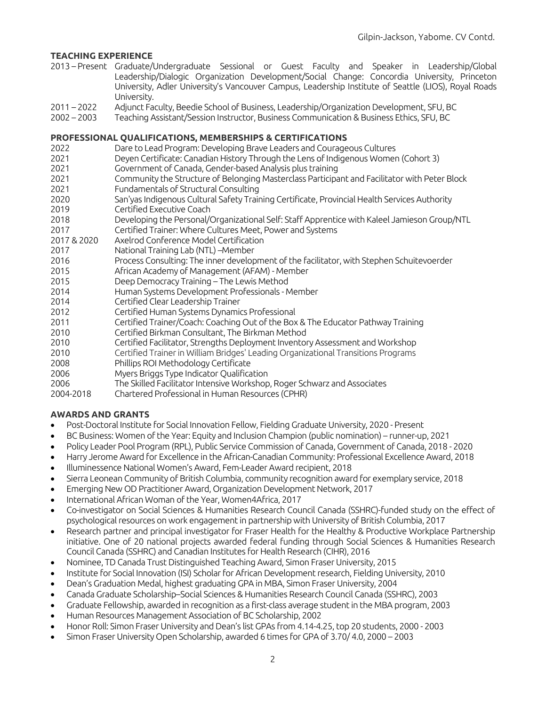## **TEACHING EXPERIENCE**

- 2013 Present Graduate/Undergraduate Sessional or Guest Faculty and Speaker in Leadership/Global Leadership/Dialogic Organization Development/Social Change: Concordia University, Princeton University, Adler University's Vancouver Campus, Leadership Institute of Seattle (LIOS), Royal Roads University.
- 2011 2022 Adjunct Faculty, Beedie School of Business, Leadership/Organization Development, SFU, BC
- 2002 2003 Teaching Assistant/Session Instructor, Business Communication & Business Ethics, SFU, BC

### **PROFESSIONAL QUALIFICATIONS, MEMBERSHIPS & CERTIFICATIONS**

- 2022 Dare to Lead Program: Developing Brave Leaders and Courageous Cultures
- 2021 Deyen Certificate: Canadian History Through the Lens of Indigenous Women (Cohort 3)
- 2021 Government of Canada, Gender-based Analysis plus training
- 2021 Community the Structure of Belonging Masterclass Participant and Facilitator with Peter Block
- 2021 Fundamentals of Structural Consulting
- 2020 San'yas Indigenous Cultural Safety Training Certificate, Provincial Health Services Authority 2019 Certified Executive Coach
- 2018 Developing the Personal/Organizational Self: Staff Apprentice with Kaleel Jamieson Group/NTL
- 2017 Certified Trainer: Where Cultures Meet, Power and Systems
- 2017 & 2020 Axelrod Conference Model Certification
- 2017 National Training Lab (NTL) –Member
- 2016 Process Consulting: The inner development of the facilitator, with Stephen Schuitevoerder
- 2015 African Academy of Management (AFAM) Member
- 2015 Deep Democracy Training The Lewis Method
- 2014 Human Systems Development Professionals Member
- 2014 Certified Clear Leadership Trainer
- 2012 Certified Human Systems Dynamics Professional
- 2011 Certified Trainer/Coach: Coaching Out of the Box & The Educator Pathway Training
- 2010 Certified Birkman Consultant, The Birkman Method
- 2010 Certified Facilitator, Strengths Deployment Inventory Assessment and Workshop
- 2010 Certified Trainer in William Bridges' Leading Organizational Transitions Programs
- 2008 Phillips ROI Methodology Certificate
- 2006 Myers Briggs Type Indicator Qualification
- 2006 The Skilled Facilitator Intensive Workshop, Roger Schwarz and Associates
- 2004-2018 Chartered Professional in Human Resources (CPHR)

## **AWARDS AND GRANTS**

- Post-Doctoral Institute for Social Innovation Fellow, Fielding Graduate University, 2020 Present
- BC Business: Women of the Year: Equity and Inclusion Champion (public nomination) runner-up, 2021
- Policy Leader Pool Program (RPL), Public Service Commission of Canada, Government of Canada, 2018 2020
- Harry Jerome Award for Excellence in the African-Canadian Community: Professional Excellence Award, 2018
- Illuminessence National Women's Award, Fem-Leader Award recipient, 2018
- Sierra Leonean Community of British Columbia, community recognition award for exemplary service, 2018
- Emerging New OD Practitioner Award, Organization Development Network, 2017
- International African Woman of the Year, Women4Africa, 2017
- Co-investigator on Social Sciences & Humanities Research Council Canada (SSHRC)-funded study on the effect of psychological resources on work engagement in partnership with University of British Columbia, 2017
- Research partner and principal investigator for Fraser Health for the Healthy & Productive Workplace Partnership initiative. One of 20 national projects awarded federal funding through Social Sciences & Humanities Research Council Canada (SSHRC) and Canadian Institutes for Health Research (CIHR), 2016
- Nominee, TD Canada Trust Distinguished Teaching Award, Simon Fraser University, 2015
- Institute for Social Innovation (ISI) Scholar for African Development research, Fielding University, 2010
- Dean's Graduation Medal, highest graduating GPA in MBA, Simon Fraser University, 2004
- Canada Graduate Scholarship–Social Sciences & Humanities Research Council Canada (SSHRC), 2003
- Graduate Fellowship, awarded in recognition as a first-class average student in the MBA program, 2003
- Human Resources Management Association of BC Scholarship, 2002
- Honor Roll: Simon Fraser University and Dean's list GPAs from 4.14-4.25, top 20 students, 2000 2003
- Simon Fraser University Open Scholarship, awarded 6 times for GPA of 3.70/ 4.0, 2000 2003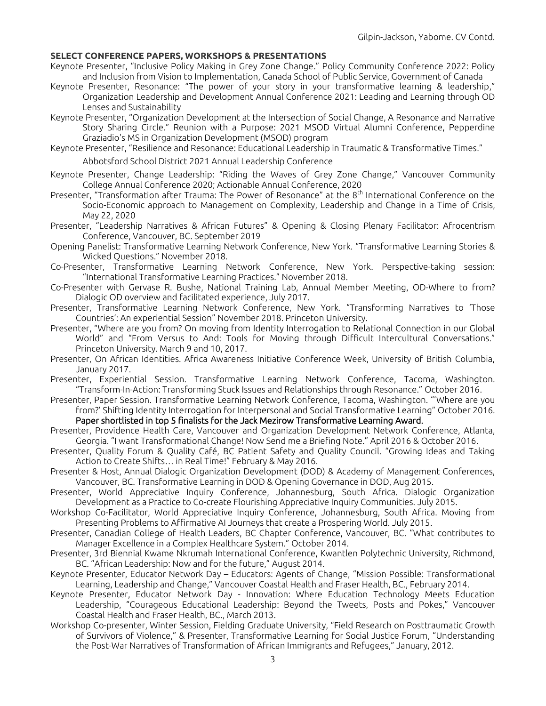#### **SELECT CONFERENCE PAPERS, WORKSHOPS & PRESENTATIONS**

- Keynote Presenter, "Inclusive Policy Making in Grey Zone Change." Policy Community Conference 2022: Policy and Inclusion from Vision to Implementation, Canada School of Public Service, Government of Canada
- Keynote Presenter, Resonance: "The power of your story in your transformative learning & leadership," Organization Leadership and Development Annual Conference 2021: Leading and Learning through OD Lenses and Sustainability
- Keynote Presenter, "Organization Development at the Intersection of Social Change, A Resonance and Narrative Story Sharing Circle." Reunion with a Purpose: 2021 MSOD Virtual Alumni Conference, Pepperdine Graziadio's MS in Organization Development (MSOD) program
- Keynote Presenter, "Resilience and Resonance: Educational Leadership in Traumatic & Transformative Times."

Abbotsford School District 2021 Annual Leadership Conference

- Keynote Presenter, Change Leadership: "Riding the Waves of Grey Zone Change," Vancouver Community College Annual Conference 2020; Actionable Annual Conference, 2020
- Presenter, "Transformation after Trauma: The Power of Resonance" at the 8<sup>th</sup> International Conference on the Socio-Economic approach to Management on Complexity, Leadership and Change in a Time of Crisis, May 22, 2020
- Presenter, "Leadership Narratives & African Futures" & Opening & Closing Plenary Facilitator: Afrocentrism Conference, Vancouver, BC. September 2019
- Opening Panelist: Transformative Learning Network Conference, New York. "Transformative Learning Stories & Wicked Questions." November 2018.
- Co-Presenter, Transformative Learning Network Conference, New York. Perspective-taking session: "International Transformative Learning Practices." November 2018.
- Co-Presenter with Gervase R. Bushe, National Training Lab, Annual Member Meeting, OD-Where to from? Dialogic OD overview and facilitated experience, July 2017.
- Presenter, Transformative Learning Network Conference, New York. "Transforming Narratives to 'Those Countries': An experiential Session" November 2018. Princeton University.
- Presenter, "Where are you from? On moving from Identity Interrogation to Relational Connection in our Global World" and "From Versus to And: Tools for Moving through Difficult Intercultural Conversations." Princeton University. March 9 and 10, 2017.
- Presenter, On African Identities. Africa Awareness Initiative Conference Week, University of British Columbia, January 2017.
- Presenter, Experiential Session. Transformative Learning Network Conference, Tacoma, Washington. "Transform-In-Action: Transforming Stuck Issues and Relationships through Resonance." October 2016.
- Presenter, Paper Session. Transformative Learning Network Conference, Tacoma, Washington. "'Where are you from?' Shifting Identity Interrogation for Interpersonal and Social Transformative Learning" October 2016.

Paper shortlisted in top 5 finalists for the Jack Mezirow Transformative Learning Award.

- Presenter, Providence Health Care, Vancouver and Organization Development Network Conference, Atlanta, Georgia. "I want Transformational Change! Now Send me a Briefing Note." April 2016 & October 2016.
- Presenter, Quality Forum & Quality Café, BC Patient Safety and Quality Council. "Growing Ideas and Taking Action to Create Shifts… in Real Time!" February & May 2016.
- Presenter & Host, Annual Dialogic Organization Development (DOD) & Academy of Management Conferences, Vancouver, BC. Transformative Learning in DOD & Opening Governance in DOD, Aug 2015.
- Presenter, World Appreciative Inquiry Conference, Johannesburg, South Africa. Dialogic Organization Development as a Practice to Co-create Flourishing Appreciative Inquiry Communities. July 2015.
- Workshop Co-Facilitator, World Appreciative Inquiry Conference, Johannesburg, South Africa. Moving from Presenting Problems to Affirmative AI Journeys that create a Prospering World. July 2015.
- Presenter, Canadian College of Health Leaders, BC Chapter Conference, Vancouver, BC. "What contributes to Manager Excellence in a Complex Healthcare System." October 2014.
- Presenter, 3rd Biennial Kwame Nkrumah International Conference, Kwantlen Polytechnic University, Richmond, BC. "African Leadership: Now and for the future," August 2014.
- Keynote Presenter, Educator Network Day Educators: Agents of Change, "Mission Possible: Transformational Learning, Leadership and Change," Vancouver Coastal Health and Fraser Health, BC., February 2014.
- Keynote Presenter, Educator Network Day Innovation: Where Education Technology Meets Education Leadership, "Courageous Educational Leadership: Beyond the Tweets, Posts and Pokes," Vancouver Coastal Health and Fraser Health, BC., March 2013.
- Workshop Co-presenter, Winter Session, Fielding Graduate University, "Field Research on Posttraumatic Growth of Survivors of Violence," & Presenter, Transformative Learning for Social Justice Forum, "Understanding the Post-War Narratives of Transformation of African Immigrants and Refugees," January, 2012.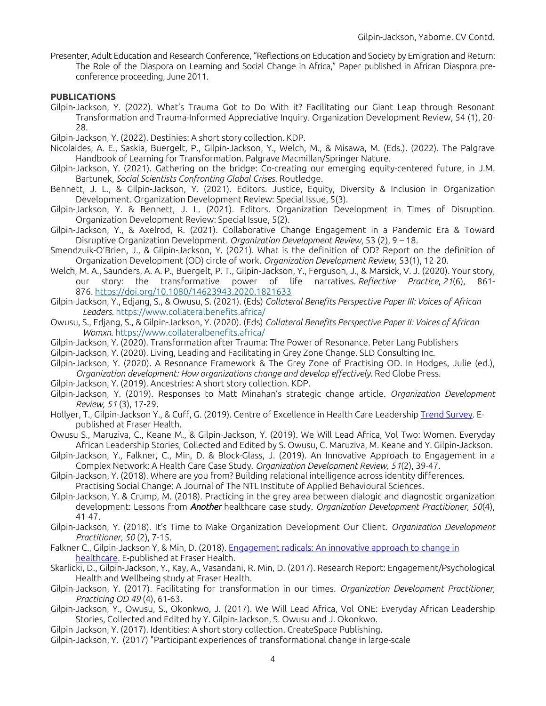Presenter, Adult Education and Research Conference, "Reflections on Education and Society by Emigration and Return: The Role of the Diaspora on Learning and Social Change in Africa," Paper published in African Diaspora preconference proceeding, June 2011.

#### **PUBLICATIONS**

Gilpin-Jackson, Y. (2022). What's Trauma Got to Do With it? Facilitating our Giant Leap through Resonant Transformation and Trauma-Informed Appreciative Inquiry. Organization Development Review, 54 (1), 20- 28.

Gilpin-Jackson, Y. (2022). Destinies: A short story collection. KDP.

- Nicolaides, A. E., Saskia, Buergelt, P., Gilpin-Jackson, Y., Welch, M., & Misawa, M. (Eds.). (2022). The Palgrave Handbook of Learning for Transformation. Palgrave Macmillan/Springer Nature.
- Gilpin-Jackson, Y. (2021). Gathering on the bridge: Co-creating our emerging equity-centered future, in J.M. Bartunek, *Social Scientists Confronting Global Crises*. Routledge.
- Bennett, J. L., & Gilpin-Jackson, Y. (2021). Editors. Justice, Equity, Diversity & Inclusion in Organization Development. Organization Development Review: Special Issue, 5(3).
- Gilpin-Jackson, Y. & Bennett, J. L. (2021). Editors. Organization Development in Times of Disruption. Organization Development Review: Special Issue, 5(2).
- Gilpin-Jackson, Y., & Axelrod, R. (2021). Collaborative Change Engagement in a Pandemic Era & Toward Disruptive Organization Development. *Organization Development Review*, 53 (2), 9 – 18.
- Smendzuik-O'Brien, J., & Gilpin-Jackson, Y. (2021). What is the definition of OD? Report on the definition of Organization Development (OD) circle of work. *Organization Development Review*, 53(1), 12-20.
- Welch, M. A., Saunders, A. A. P., Buergelt, P. T., Gilpin-Jackson, Y., Ferguson, J., & Marsick, V. J. (2020). Your story, our story: the transformative power of life narratives. *Reflective Practice*, *21*(6), 861- 876. <https://doi.org/10.1080/14623943.2020.1821633>
- Gilpin-Jackson, Y., Edjang, S., & Owusu, S. (2021). (Eds) *Collateral Benefits Perspective Paper III: Voices of African Leaders*. <https://www.collateralbenefits.africa/>
- Owusu, S., Edjang, S., & Gilpin-Jackson, Y. (2020). (Eds) *Collateral Benefits Perspective Paper II: Voices of African Womxn*. <https://www.collateralbenefits.africa/>
- Gilpin-Jackson, Y. (2020). Transformation after Trauma: The Power of Resonance. Peter Lang Publishers
- Gilpin-Jackson, Y. (2020). Living, Leading and Facilitating in Grey Zone Change*.* SLD Consulting Inc.
- Gilpin-Jackson, Y. (2020). A Resonance Framework & The Grey Zone of Practising OD. In Hodges, Julie (ed.), *Organization development: How organizations change and develop effectively.* Red Globe Press.
- Gilpin-Jackson, Y. (2019). Ancestries: A short story collection. KDP.
- Gilpin-Jackson, Y. (2019). Responses to Matt Minahan's strategic change article. *Organization Development Review, 51* (3), 17-29.
- Hollyer, T., Gilpin-Jackson Y., & Cuff, G. (2019). Centre of Excellence in Health Care Leadership Trend [Survey.](https://www.fraserhealth.ca/-/media/Project/FraserHealth/FraserHealth/Health-Professionals/Employee-Resources/Centre_of_Excellence_Trend_Survey_Report_2019.pdf) Epublished at Fraser Health.
- Owusu S., Maruziva, C., Keane M., & Gilpin-Jackson, Y. (2019). We Will Lead Africa, Vol Two: Women. Everyday African Leadership Stories, Collected and Edited by S. Owusu, C. Maruziva, M. Keane and Y. Gilpin-Jackson.
- Gilpin-Jackson, Y., Falkner, C., Min, D. & Block-Glass, J. (2019). An Innovative Approach to Engagement in a Complex Network: A Health Care Case Study. *Organization Development Review, 51*(2), 39-47.
- Gilpin-Jackson, Y. (2018). Where are you from? Building relational intelligence across identity differences. Practising Social Change: A Journal of The NTL Institute of Applied Behavioural Sciences.
- Gilpin-Jackson, Y. & Crump, M. (2018). Practicing in the grey area between dialogic and diagnostic organization development: Lessons from *Another* healthcare case study. *Organization Development Practitioner, 50*(4), 41-47.
- Gilpin-Jackson, Y. (2018). It's Time to Make Organization Development Our Client. *Organization Development Practitioner, 50* (2), 7-15.
- Falkner C., Gilpin-Jackson Y, & Min, D. (2018)[. Engagement radicals: An innovative approach to change in](https://sldconsulting.org/wp-content/uploads/2020/02/engagement-radicals-book.pdf)  [healthcare.](https://sldconsulting.org/wp-content/uploads/2020/02/engagement-radicals-book.pdf) E-published at Fraser Health.
- Skarlicki, D., Gilpin-Jackson, Y., Kay, A., Vasandani, R. Min, D. (2017). Research Report: Engagement/Psychological Health and Wellbeing study at Fraser Health.
- Gilpin-Jackson, Y. (2017). Facilitating for transformation in our times. *Organization Development Practitioner, Practicing OD 49* (4), 61-63.
- Gilpin-Jackson, Y., Owusu, S., Okonkwo, J. (2017). We Will Lead Africa, Vol ONE: Everyday African Leadership Stories, Collected and Edited by Y. Gilpin-Jackson, S. Owusu and J. Okonkwo.
- Gilpin-Jackson, Y. (2017). Identities: A short story collection. CreateSpace Publishing.
- Gilpin-Jackson, Y. (2017) "Participant experiences of transformational change in large-scale